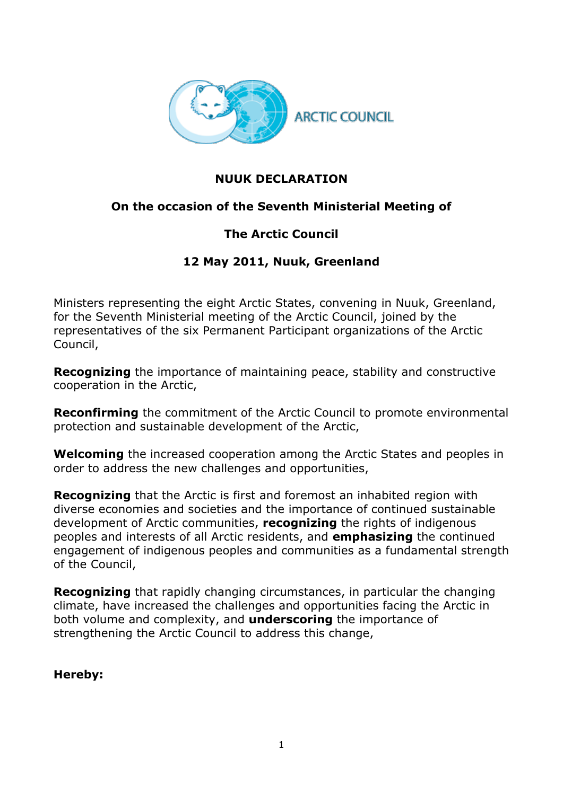

## **NUUK DECLARATION**

## **On the occasion of the Seventh Ministerial Meeting of**

# **The Arctic Council**

### **12 May 2011, Nuuk, Greenland**

Ministers representing the eight Arctic States, convening in Nuuk, Greenland, for the Seventh Ministerial meeting of the Arctic Council, joined by the representatives of the six Permanent Participant organizations of the Arctic Council,

**Recognizing** the importance of maintaining peace, stability and constructive cooperation in the Arctic,

**Reconfirming** the commitment of the Arctic Council to promote environmental protection and sustainable development of the Arctic,

**Welcoming** the increased cooperation among the Arctic States and peoples in order to address the new challenges and opportunities,

**Recognizing** that the Arctic is first and foremost an inhabited region with diverse economies and societies and the importance of continued sustainable development of Arctic communities, **recognizing** the rights of indigenous peoples and interests of all Arctic residents, and **emphasizing** the continued engagement of indigenous peoples and communities as a fundamental strength of the Council,

**Recognizing** that rapidly changing circumstances, in particular the changing climate, have increased the challenges and opportunities facing the Arctic in both volume and complexity, and **underscoring** the importance of strengthening the Arctic Council to address this change,

#### **Hereby:**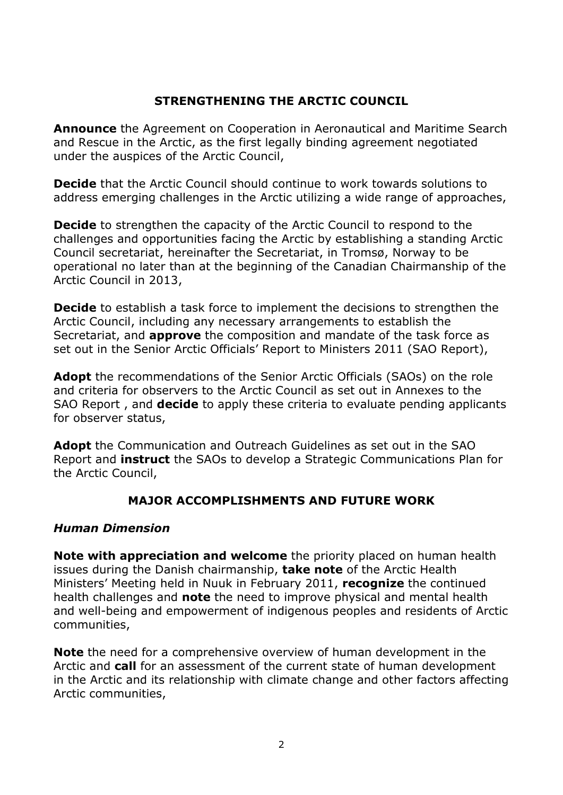# **STRENGTHENING THE ARCTIC COUNCIL**

**Announce** the Agreement on Cooperation in Aeronautical and Maritime Search and Rescue in the Arctic, as the first legally binding agreement negotiated under the auspices of the Arctic Council,

**Decide** that the Arctic Council should continue to work towards solutions to address emerging challenges in the Arctic utilizing a wide range of approaches,

**Decide** to strengthen the capacity of the Arctic Council to respond to the challenges and opportunities facing the Arctic by establishing a standing Arctic Council secretariat, hereinafter the Secretariat, in Tromsø, Norway to be operational no later than at the beginning of the Canadian Chairmanship of the Arctic Council in 2013,

**Decide** to establish a task force to implement the decisions to strengthen the Arctic Council, including any necessary arrangements to establish the Secretariat, and **approve** the composition and mandate of the task force as set out in the Senior Arctic Officials' Report to Ministers 2011 (SAO Report),

**Adopt** the recommendations of the Senior Arctic Officials (SAOs) on the role and criteria for observers to the Arctic Council as set out in Annexes to the SAO Report , and **decide** to apply these criteria to evaluate pending applicants for observer status,

**Adopt** the Communication and Outreach Guidelines as set out in the SAO Report and **instruct** the SAOs to develop a Strategic Communications Plan for the Arctic Council,

# **MAJOR ACCOMPLISHMENTS AND FUTURE WORK**

#### *Human Dimension*

**Note with appreciation and welcome** the priority placed on human health issues during the Danish chairmanship, **take note** of the Arctic Health Ministers' Meeting held in Nuuk in February 2011, **recognize** the continued health challenges and **note** the need to improve physical and mental health and well-being and empowerment of indigenous peoples and residents of Arctic communities,

**Note** the need for a comprehensive overview of human development in the Arctic and **call** for an assessment of the current state of human development in the Arctic and its relationship with climate change and other factors affecting Arctic communities,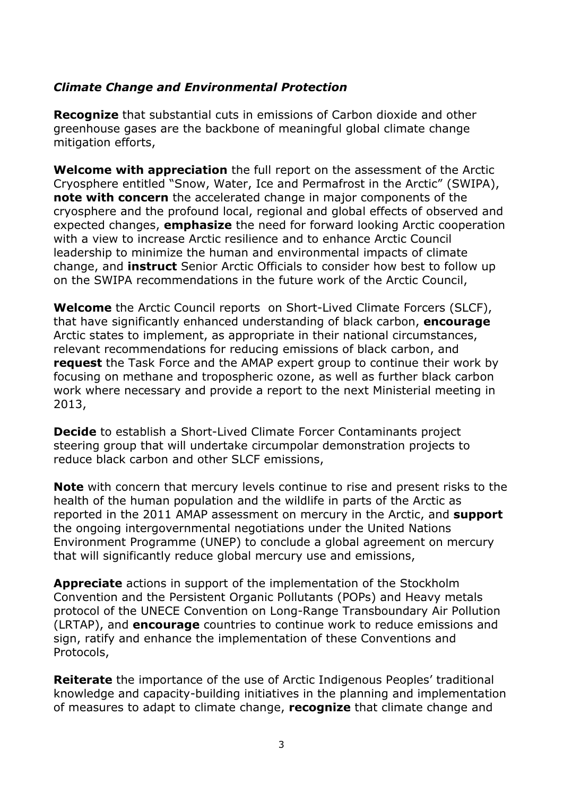## *Climate Change and Environmental Protection*

**Recognize** that substantial cuts in emissions of Carbon dioxide and other greenhouse gases are the backbone of meaningful global climate change mitigation efforts,

**Welcome with appreciation** the full report on the assessment of the Arctic Cryosphere entitled "Snow, Water, Ice and Permafrost in the Arctic" (SWIPA), **note with concern** the accelerated change in major components of the cryosphere and the profound local, regional and global effects of observed and expected changes, **emphasize** the need for forward looking Arctic cooperation with a view to increase Arctic resilience and to enhance Arctic Council leadership to minimize the human and environmental impacts of climate change, and **instruct** Senior Arctic Officials to consider how best to follow up on the SWIPA recommendations in the future work of the Arctic Council,

**Welcome** the Arctic Council reports on Short-Lived Climate Forcers (SLCF), that have significantly enhanced understanding of black carbon, **encourage**  Arctic states to implement, as appropriate in their national circumstances, relevant recommendations for reducing emissions of black carbon, and **request** the Task Force and the AMAP expert group to continue their work by focusing on methane and tropospheric ozone, as well as further black carbon work where necessary and provide a report to the next Ministerial meeting in 2013,

**Decide** to establish a Short-Lived Climate Forcer Contaminants project steering group that will undertake circumpolar demonstration projects to reduce black carbon and other SLCF emissions,

**Note** with concern that mercury levels continue to rise and present risks to the health of the human population and the wildlife in parts of the Arctic as reported in the 2011 AMAP assessment on mercury in the Arctic, and **support** the ongoing intergovernmental negotiations under the United Nations Environment Programme (UNEP) to conclude a global agreement on mercury that will significantly reduce global mercury use and emissions,

**Appreciate** actions in support of the implementation of the Stockholm Convention and the Persistent Organic Pollutants (POPs) and Heavy metals protocol of the UNECE Convention on Long-Range Transboundary Air Pollution (LRTAP), and **encourage** countries to continue work to reduce emissions and sign, ratify and enhance the implementation of these Conventions and Protocols,

**Reiterate** the importance of the use of Arctic Indigenous Peoples' traditional knowledge and capacity-building initiatives in the planning and implementation of measures to adapt to climate change, **recognize** that climate change and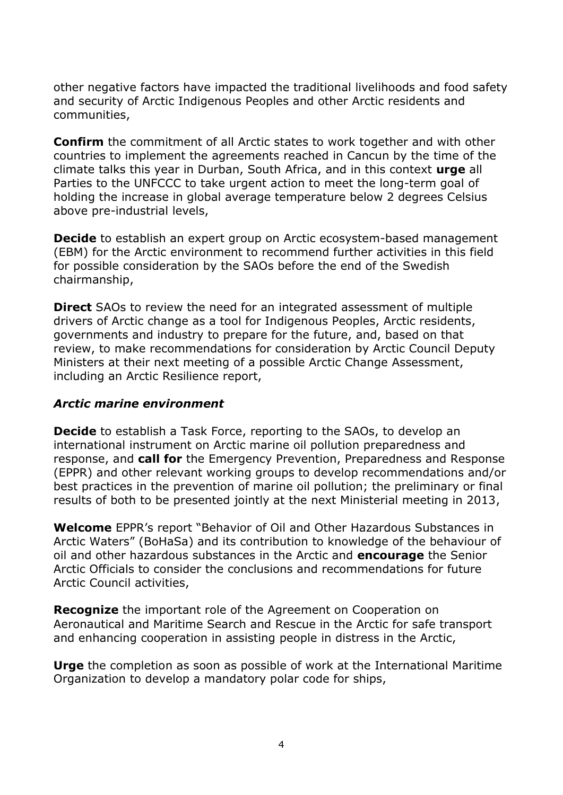other negative factors have impacted the traditional livelihoods and food safety and security of Arctic Indigenous Peoples and other Arctic residents and communities,

**Confirm** the commitment of all Arctic states to work together and with other countries to implement the agreements reached in Cancun by the time of the climate talks this year in Durban, South Africa, and in this context **urge** all Parties to the UNFCCC to take urgent action to meet the long-term goal of holding the increase in global average temperature below 2 degrees Celsius above pre-industrial levels,

**Decide** to establish an expert group on Arctic ecosystem-based management (EBM) for the Arctic environment to recommend further activities in this field for possible consideration by the SAOs before the end of the Swedish chairmanship,

**Direct** SAOs to review the need for an integrated assessment of multiple drivers of Arctic change as a tool for Indigenous Peoples, Arctic residents, governments and industry to prepare for the future, and, based on that review, to make recommendations for consideration by Arctic Council Deputy Ministers at their next meeting of a possible Arctic Change Assessment, including an Arctic Resilience report,

#### *Arctic marine environment*

**Decide** to establish a Task Force, reporting to the SAOs, to develop an international instrument on Arctic marine oil pollution preparedness and response, and **call for** the Emergency Prevention, Preparedness and Response (EPPR) and other relevant working groups to develop recommendations and/or best practices in the prevention of marine oil pollution; the preliminary or final results of both to be presented jointly at the next Ministerial meeting in 2013,

**Welcome** EPPR's report "Behavior of Oil and Other Hazardous Substances in Arctic Waters" (BoHaSa) and its contribution to knowledge of the behaviour of oil and other hazardous substances in the Arctic and **encourage** the Senior Arctic Officials to consider the conclusions and recommendations for future Arctic Council activities,

**Recognize** the important role of the Agreement on Cooperation on Aeronautical and Maritime Search and Rescue in the Arctic for safe transport and enhancing cooperation in assisting people in distress in the Arctic,

**Urge** the completion as soon as possible of work at the International Maritime Organization to develop a mandatory polar code for ships,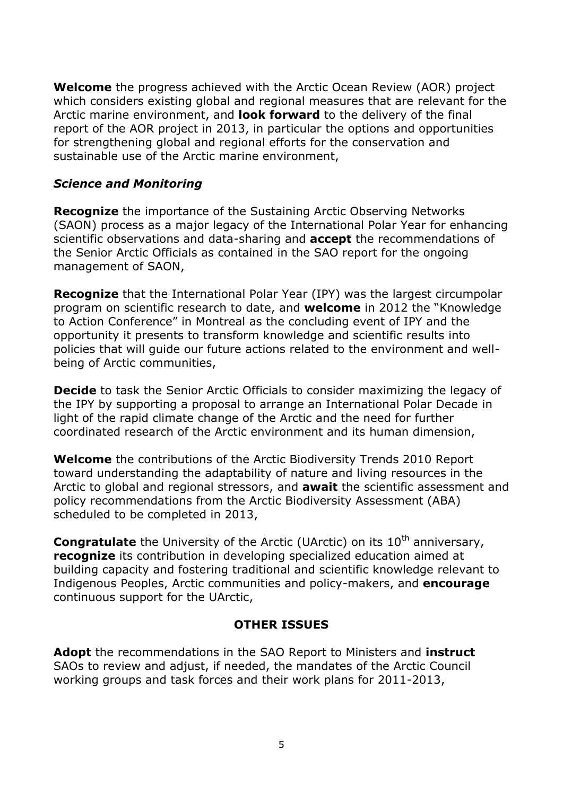**Welcome** the progress achieved with the Arctic Ocean Review (AOR) project which considers existing global and regional measures that are relevant for the Arctic marine environment, and **look forward** to the delivery of the final report of the AOR project in 2013, in particular the options and opportunities for strengthening global and regional efforts for the conservation and sustainable use of the Arctic marine environment,

### *Science and Monitoring*

**Recognize** the importance of the Sustaining Arctic Observing Networks (SAON) process as a major legacy of the International Polar Year for enhancing scientific observations and data-sharing and **accept** the recommendations of the Senior Arctic Officials as contained in the SAO report for the ongoing management of SAON,

**Recognize** that the International Polar Year (IPY) was the largest circumpolar program on scientific research to date, and **welcome** in 2012 the "Knowledge to Action Conference" in Montreal as the concluding event of IPY and the opportunity it presents to transform knowledge and scientific results into policies that will guide our future actions related to the environment and wellbeing of Arctic communities,

**Decide** to task the Senior Arctic Officials to consider maximizing the legacy of the IPY by supporting a proposal to arrange an International Polar Decade in light of the rapid climate change of the Arctic and the need for further coordinated research of the Arctic environment and its human dimension,

**Welcome** the contributions of the Arctic Biodiversity Trends 2010 Report toward understanding the adaptability of nature and living resources in the Arctic to global and regional stressors, and **await** the scientific assessment and policy recommendations from the Arctic Biodiversity Assessment (ABA) scheduled to be completed in 2013,

**Congratulate** the University of the Arctic (UArctic) on its 10<sup>th</sup> anniversary, **recognize** its contribution in developing specialized education aimed at building capacity and fostering traditional and scientific knowledge relevant to Indigenous Peoples, Arctic communities and policy-makers, and **encourage** continuous support for the UArctic,

# **OTHER ISSUES**

**Adopt** the recommendations in the SAO Report to Ministers and **instruct** SAOs to review and adjust, if needed, the mandates of the Arctic Council working groups and task forces and their work plans for 2011-2013,